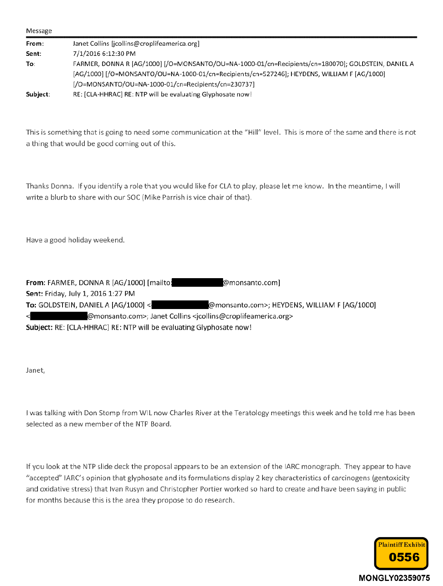| Message  |                                                                                                    |  |  |  |  |  |
|----------|----------------------------------------------------------------------------------------------------|--|--|--|--|--|
| From:    | Janet Collins [jcollins@croplifeamerica.org]                                                       |  |  |  |  |  |
| Sent:    | 7/1/2016 6:12:30 PM                                                                                |  |  |  |  |  |
| To:      | FARMER, DONNA R [AG/1000] [/O=MONSANTO/OU=NA-1000-01/cn=Recipients/cn=180070]; GOLDSTEIN, DANIEL A |  |  |  |  |  |
|          | [AG/1000] [/O=MONSANTO/OU=NA-1000-01/cn=Recipients/cn=527246]; HEYDENS, WILLIAM F [AG/1000]        |  |  |  |  |  |
|          | $[$ /O=MONSANTO/OU=NA-1000-01/cn=Recipients/cn=230737]                                             |  |  |  |  |  |
| Subject: | RE: [CLA-HHRAC] RE: NTP will be evaluating Glyphosate now!                                         |  |  |  |  |  |

This is something that is going to need some communication at the "Hill" level. This is more of the same and there is not a thing that would be good coming out of this.

Thanks Donna. If you identify a role that you would like for CLA to play, please let me know. In the meantime, I will write a blurb to share with our SOC {Mike Parrish is vice chair of that).

Have a good holiday weekend.

| From: FARMER, DONNA R [AG/1000] [mailto:                                                               | @monsanto.com]                               |  |  |  |  |  |  |  |  |
|--------------------------------------------------------------------------------------------------------|----------------------------------------------|--|--|--|--|--|--|--|--|
| Sent: Friday, July 1, 2016 1:27 PM                                                                     |                                              |  |  |  |  |  |  |  |  |
| To: GOLDSTEIN, DANIEL A $[AG/1000]$ <                                                                  | @monsanto.com>; HEYDENS, WILLIAM F [AG/1000] |  |  |  |  |  |  |  |  |
| $\prec$<br>@monsanto.com>; Janet Collins <jcollins@croplifeamerica.org></jcollins@croplifeamerica.org> |                                              |  |  |  |  |  |  |  |  |
| Subject: RE: [CLA-HHRAC] RE: NTP will be evaluating Glyphosate now!                                    |                                              |  |  |  |  |  |  |  |  |

Janet,

! was talking with Don Stomp from WIL now Charles River at the Teratology meetings this week and he told me has been selected as a new member of the NTP Board.

If you look at the NTP slide deck the proposal appears to be an extension of the !ARC monograph. They appear to have "accepted'' IAHC's opinion that glyphosate and its formulations display 2 key characteristics of carcinogens (gentoxicity and oxidative stress} that Ivan Rusyn and Christopher Portier worked so hard to create and have been saying in public for months because this is the area they propose to do research.

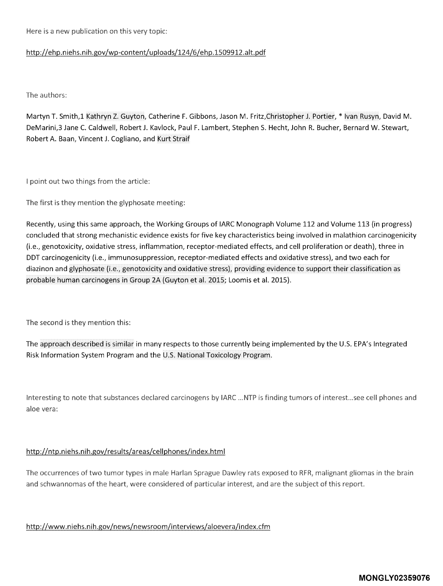Here is a new publication on this very topic:

## http://ehp.niehs.nih.gov/wp-content/uploads/124/6/ehp.1509912.alt.pdf

The authors:

Martyn T. Smith,1 Kathryn Z. Guyton, Catherine F. Gibbons, Jason M. Fritz,Christopher J. Portier, \* Ivan Rusyn, David M. DeMarini,3 Jane C. Caldwell, Robert J. Kavlock, Paul F. Lambert, Stephen S. Hecht, John R. Bucher, Bernard W. Stewart, Robert A. Baan, Vincent J. Cogliano, and Kurt Straif

I point out two things from the article:

The first is they mention the [glyphosate](https://www.baumhedlundlaw.com/toxic-tort-law/monsanto-roundup-lawsuit/) meeting:

Recently, using this same approach, the Working Groups of IARC Monograph Volume 112 and Volume 113 (in progress) concluded that strong mechanistic evidence exists for five key characteristics being involved in malathion carcinogenicity (i.e., genotoxicity, oxidative stress, inflammation, receptor-mediated effects, and cell proliferation or death), three in DDT carcinogenicity (i.e., immunosuppression, receptor-mediated effects and oxidative stress), and two each for diazinon and glyphosate (i.e., genotoxicity and oxidative stress), providing evidence to support their classification as probable human carcinogens in Group 2A (Guyton et al. 2015; Loomis et al. 2015).

The second is they mention this:

The approach described is similar in many respects to those currently being implemented by the U.S. EPA's Integrated Risk Information System Program and the U.S. National Toxicology Program.

Interesting to note that substances declared carcinogens by IARC ... NTP is finding tumors of interest...see cell phones and aloe vera:

# http://ntp.niehs.nih.gov/results/areas/cellphones/index.html

The occurrences of two tumor types in male Harlan Sprague Dawley rats exposed to RFR, malignant gliomas in the brain and schwannomas of the heart, were considered of particular interest, and are the subject of this report.

http://www.niehs.nih.gov/news/newsroom/interviews/aloevera/index.cfm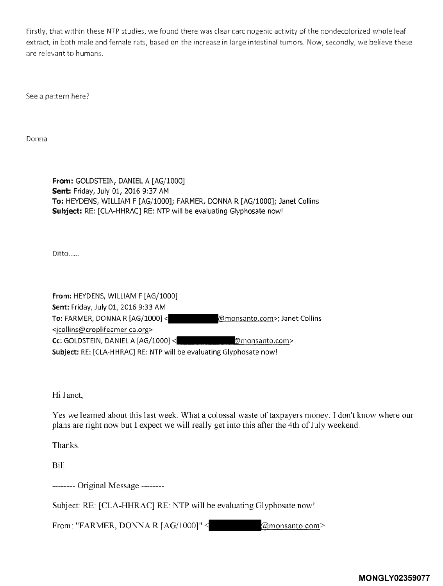Firstly, that within these NTP studies, we found there was clear carcinogenic activity of the nondecoiorized whole leaf extract, in both male and female rats, based on the increase in large intestinal tumors. Now, secondly, we believe these are relevant to humans.

See a pattern here?

Donna

**From:** GOLDSTEIN, DANIEL A [AG/1000] **Sent:** Friday, July 01, 2016 9:37 AM **To:** HEYDENS, WILLIAM F [AG/ 1000]; FARMER, DONNA R [AG/1000]; Janet Collins **Subject:** RE: [CLA-HHRAC] RE: NTP will be evaluating Glyphosate now!

Ditto ......

**From:** HEYDENS, WILLIAM F [AG/1000) **Sent:** Friday, July 01, 2016 9:33 AM **To:** FARMER, DONNA R [AG/1000) <jcollins@croplifeamerica.org> **Cc:** GOLDSTEIN, DANIEL A [AG/1000) < monsanto.com>; Janet Collins monsanto.com> **Subject:** RE: [CLA-HHRAC] RE: NTP will be evaluating Glyphosate now!

Hi Janet,

Yes we learned about this last week. What a colossal waste of taxpayers money. I don't know where our plans are right now but I expect we will really get into this after the 4th of July weekend.

Thanks.

Bill

-------- Original Message --------

Subject: RE: [CLA-HHRAC] RE: NTP will be evaluating Glyphosate now!

From: "FARMER, DONNAR  $[AG/1000]$ " < @monsanto.com>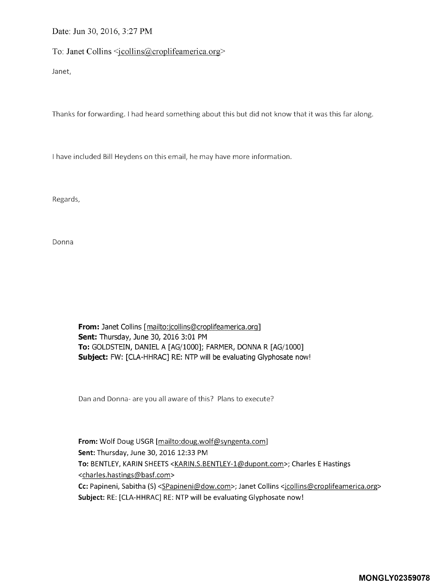Date: Jun 30, 2016, 3:27 PM

To: Janet Collins <jcollins@croplifeamerica.org>

Janet,

Thanks for forwarding. I had heard something about this but did not know that it was this far along.

I have included Bill Heydens on this email, he may have more information.

Regards,

Donna

**From:** Janet Collins [mailto:icollins@croplifeamerica.orql **Sent:** Thursday, June 30, 2016 3:01 PM **To:** GOLDSTEIN, DANIEL A [AG/1000]; FARMER, DONNA R [AG/1000] **Subject:** FW: [CLA-HHRAC] RE: NTP will be evaluating Glyphosate now!

Dan and Donna- are you all aware of this? Plans to execute?

**From:** Wolf Doug USGR [mailto:doug.wolf@syngenta.com] **Sent:** Thursday, June 30, 2016 12:33 PM To: BENTLEY, KARIN SHEETS <KARIN.S.BENTLEY-1@dupont.com>; Charles E Hastings <charles.hastings@basf.com> **Cc:** Papineni, Sabitha (S) <SPapineni@dow.com>; Janet Collins <jcollins@croplifeamerica.org> **Subject:** RE: [CLA-HHRAC] RE: NTP will be evaluating Glyphosate now!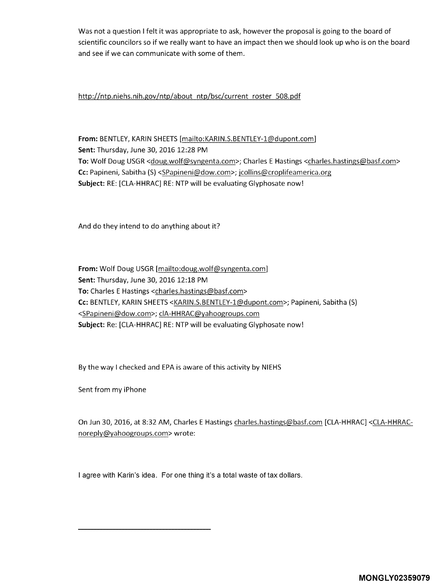Was not a question I felt it was appropriate to ask, however the proposal is going to the board of scientific councilors so if we really want to have an impact then we should look up who is on the board and see if we can communicate with some of them.

http://ntp.niehs.nih.gov/ntp/about ntp/bsc/current roster 508.pdf

**From:** BENTLEY, KARIN SHEETS [mailto:KARIN.S.BENTLEY-l@dupont.com] **Sent:** Thursday, June 30, 2016 12:28 PM To: Wolf Doug USGR <doug.wolf@syngenta.com>; Charles E Hastings <charles.hastings@basf.com> **Cc:** Papineni, Sabitha (S) <SPapineni@dow.com>; jcollins@croplifeamerica.org **Subject:** RE: [CLA-HHRAC] RE: NTP will be evaluating Glyphosate now!

And do they intend to do anything about it?

**From:** Wolf Doug USGR [mailto:doug.wolf@syngenta.com] **Sent:** Thursday, June 30, 2016 12:18 PM **To:** Charles E Hastings <charles.hastings@basf.com> **Cc:** BENTLEY, KARIN SHEETS <KARIN.S.BENTLEY-l@dupont.com>; Papineni, Sabitha (S) <SPapineni@dow.com>; clA-HHRAC@yahoogroups.com **Subject:** Re: [CLA-HHRAC] RE: NTP will be evaluating Glyphosate now!

By the way I checked and EPA is aware of this activity by NIEHS

Sent from my iPhone

On Jun 30, 2016, at 8:32 AM, Charles E Hastings charles.hastings@basf.com [CLA-HHRAC] <CLA-HHRACnoreply@yahoogroups.com> wrote:

I agree with Karin's idea. For one thing it's a total waste of tax dollars.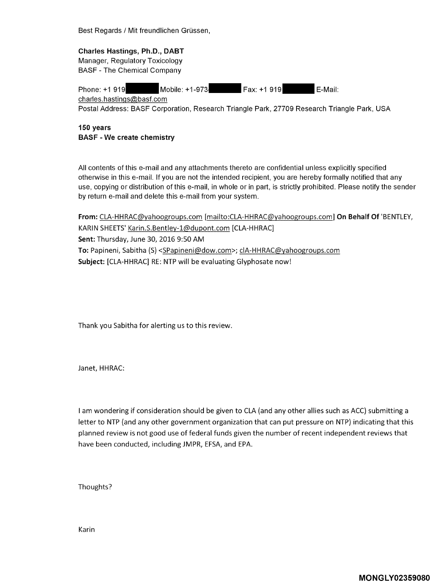Best Regards / Mit freundlichen Grüssen,

**Charles Hastings, Ph.D., DABT**  Manager, Regulatory Toxicology BASF - The Chemical Company

Phone: +1 919 Mobile: +1-973-<br>
Rax: +1 919 E-Mail: charles. hastings@basf.com Postal Address: BASF Corporation, Research Triangle Park, 27709 Research Triangle Park, USA

**150 years BASF** - **We create chemistry** 

All contents of this e-mail and any attachments thereto are confidential unless explicitly specified otherwise in this e-mail. If you are not the intended recipient, you are hereby formally notified that any use, copying or distribution of this e-mail, in whole or in part, is strictly prohibited. Please notify the sender by return e-mail and delete this e-mail from your system.

**From:** CLA-HHRAC@yahoogroups.com [mailto:CLA-HHRAC@yahoogroups.com] **On Behalf Of** 'BENTLEY, KARIN SHEETS' Karin.S.Bentley-1@dupont.com [CLA-HHRAC] **Sent:** Thursday, June 30, 2016 9:50 AM **To:** Papineni, Sabitha (S) <SPapineni@dow.com>; clA-HHRAC@yahoogroups.com **Subject:** [CLA-HHRAC] RE: NTP will be evaluating Glyphosate now!

Thank you Sabitha for alerting us to this review.

Janet, HHRAC:

I am wondering if consideration should be given to CLA (and any other allies such as ACC) submitting a letter to NTP (and any other government organization that can put pressure on NTP) indicating that this planned review is not good use of federal funds given the number of recent independent reviews that have been conducted, including JMPR, EFSA, and EPA.

Thoughts?

Karin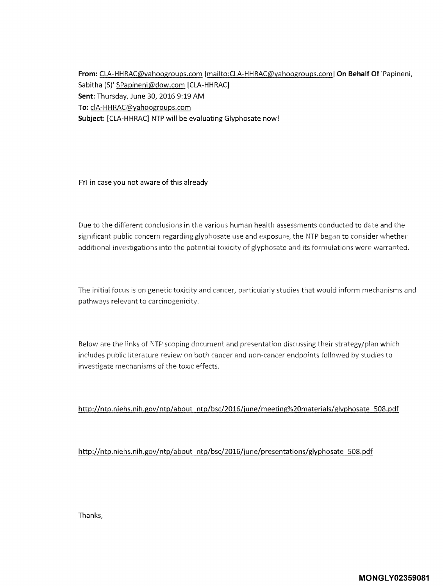**From:** CLA-HHRAC@yahoogroups.com [mailto:CLA-HHRAC@yahoogroups.com] **On Behalf Of** 'Papineni, Sabitha (S)' SPapineni@dow.com [CLA-HHRAC] **Sent:** Thursday, June 30, 2016 9:19 AM **To:** clA-HHRAC@yahoogroups.com **Subject:** [CLA-HHRAC] NTP will be evaluating Glyphosate now!

FYI in case you not aware of this already

Due to the different conclusions in the various human health assessments conducted to date and the significant public concern regarding glyphosate use and exposure, the NTP began to consider whether additional investigations into the potential toxicity of glyphosate and its formulations were warranted.

The initial focus is on genetic toxicity and cancer, particularly studies that would inform mechanisms and pathways relevant to carcinogenicity.

Below are the links of NTP scoping document and presentation discussing their strategy/plan which includes public literature review on both cancer and non-cancer endpoints followed by studies to investigate mechanisms of the toxic effects.

http://ntp.niehs.nih.gov/ntp/about ntp/bsc/2016/june/meeting%20materials/glyphosate 508.pdf

http://ntp.niehs.nih.gov/ntp/about ntp/bsc/2016/june/presentations/glyphosate 508.pdf

Thanks,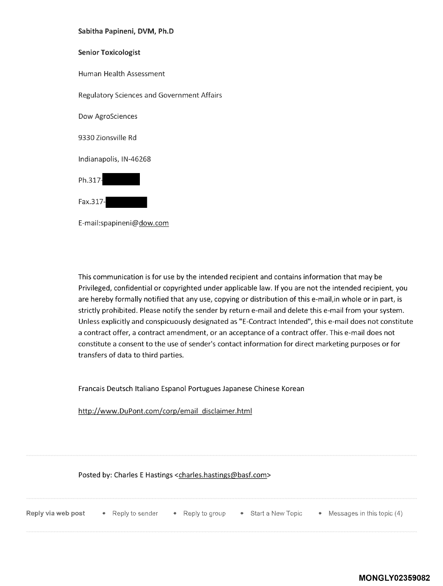### Sabitha Papineni, DVM, Ph.D

### Senior Toxicologist

Human Health Assessment

Regulatory Sciences and Government Affairs

Dow AgroSciences

9330 Zionsville Rd

Indianapolis, IN-46268



Fax.317-

E-mail:spapineni@dow.com

This communication is for use by the intended recipient and contains information that may be Privileged, confidential or copyrighted under applicable law. If you are not the intended recipient, you are hereby formally notified that any use, copying or distribution of this e-mail,in whole or in part, is strictly prohibited. Please notify the sender by return e-mail and delete this e-mail from your system. Unless explicitly and conspicuously designated as "E-Contract Intended", this e-mail does not constitute a contract offer, a contract amendment, or an acceptance of a contract offer. This e-mail does not constitute a consent to the use of sender's contact information for direct marketing purposes or for transfers of data to third parties.

Francais Deutsch Italiano Espanol Portugues Japanese Chinese Korean

http://www.DuPont.com/corp/email disclaimer.html

Posted by: Charles E Hastings <charles.hastings@basf.com>

| Reply via web post | Reply to sender | * Reply to group | • Start a New Topic | • Messages in this topic (4) |
|--------------------|-----------------|------------------|---------------------|------------------------------|
|                    |                 |                  |                     |                              |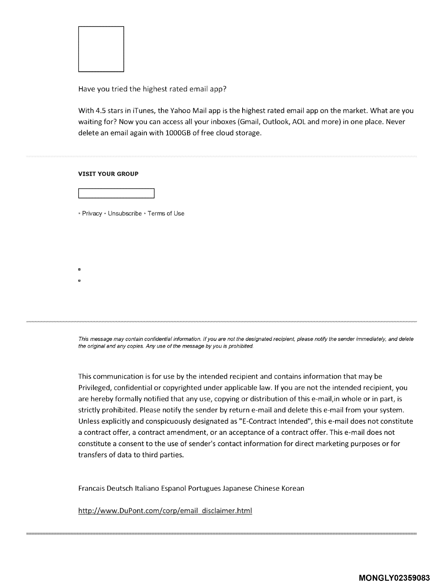

Have you tried the highest rated email app?

With 4.5 stars in iTunes, the Yahoo Mail app is the highest rated email app on the market. What are you waiting for? Now you can access all your inboxes (Gmail, Outlook, AOL and more) in one place. Never delete an email again with 1000GB of free cloud storage.

#### **VISIT YOUR GROUP**

a

\* Privacy \* Unsubscribe \* Terms of Use

This message may contain confidential information. If you are not the designated recipient, please notify the sender immediately, and delete the original and any copies. Any use of the message by you is prohibited.

This communication is for use by the intended recipient and contains information that may be Privileged, confidential or copyrighted under applicable law. If you are not the intended recipient, you are hereby formally notified that any use, copying or distribution of this e-mail,in whole or in part, is strictly prohibited. Please notify the sender by return e-mail and delete this e-mail from your system. Unless explicitly and conspicuously designated as "E-Contract Intended", this e-mail does not constitute a contract offer, a contract amendment, or an acceptance of a contract offer. This e-mail does not constitute a consent to the use of sender's contact information for direct marketing purposes or for transfers of data to third parties.

Francais Deutsch Italiano Espanol Portugues Japanese Chinese Korean

http://www.DuPont.com/corp/email disclaimer.html